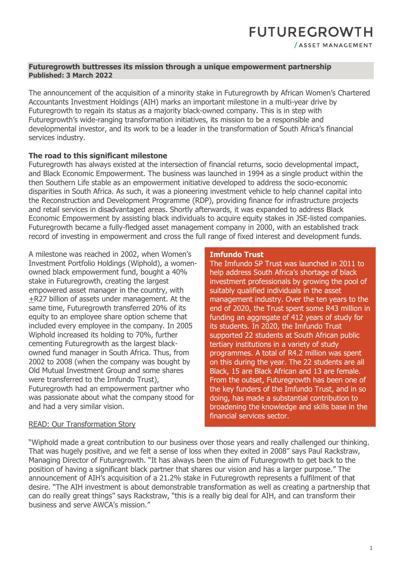# **Futuregrowth buttresses its mission through a unique empowerment partnership Published: 3 March 2022**

The announcement of the acquisition of a minority stake in Futuregrowth by African Women's Chartered Accountants Investment Holdings (AIH) marks an important milestone in a multi-year drive by Futuregrowth to regain its status as a majority black-owned company. This is in step with Futuregrowth's wide-ranging transformation initiatives, its mission to be a responsible and developmental investor, and its work to be a leader in the transformation of South Africa's financial services industry.

# **The road to this significant milestone**

Futuregrowth has always existed at the intersection of financial returns, socio developmental impact, and Black Economic Empowerment. The business was launched in 1994 as a single product within the then Southern Life stable as an empowerment initiative developed to address the socio-economic disparities in South Africa. As such, it was a pioneering investment vehicle to help channel capital into the Reconstruction and Development Programme (RDP), providing finance for infrastructure projects and retail services in disadvantaged areas. Shortly afterwards, it was expanded to address Black Economic Empowerment by assisting black individuals to acquire equity stakes in JSE-listed companies. Futuregrowth became a fully-fledged asset management company in 2000, with an established track record of investing in empowerment and cross the full range of fixed interest and development funds.

A milestone was reached in 2002, when Women's Investment Portfolio Holdings (Wiphold), a womenowned black empowerment fund, bought a 40% stake in Futuregrowth, creating the largest empowered asset manager in the country, with +R27 billion of assets under management. At the same time, Futuregrowth transferred 20% of its equity to an employee share option scheme that included every employee in the company. In 2005 Wiphold increased its holding to 70%, further cementing Futuregrowth as the largest blackowned fund manager in South Africa. Thus, from 2002 to 2008 (when the company was bought by Old Mutual Investment Group and some shares were transferred to the Imfundo Trust), Futuregrowth had an empowerment partner who was passionate about what the company stood for and had a very similar vision.

#### **Imfundo Trust**

The Imfundo SP Trust was launched in 2011 to help address South Africa's shortage of black investment professionals by growing the pool of suitably qualified individuals in the asset management industry. Over the ten years to the end of 2020, the Trust spent some R43 million in funding an aggregate of 412 years of study for its students. In 2020, the Imfundo Trust supported 22 students at South African public tertiary institutions in a variety of study programmes. A total of R4.2 million was spent on this during the year. The 22 students are all Black, 15 are Black African and 13 are female. From the outset, Futuregrowth has been one of the key funders of the Imfundo Trust, and in so doing, has made a substantial contribution to broadening the knowledge and skills base in the financial services sector.

## [READ: Our Transformation Story](https://www.futuregrowth.co.za/media/3154/futuregrowths-transformation-story.pdf)

"Wiphold made a great contribution to our business over those years and really challenged our thinking. That was hugely positive, and we felt a sense of loss when they exited in 2008" says Paul Rackstraw, Managing Director of Futuregrowth. "It has always been the aim of Futuregrowth to get back to the position of having a significant black partner that shares our vision and has a larger purpose." The announcement of AIH's acquisition of a 21.2% stake in Futuregrowth represents a fulfilment of that desire. "The AIH investment is about demonstrable transformation as well as creating a partnership that can do really great things" says Rackstraw, "this is a really big deal for AIH, and can transform their business and serve AWCA's mission."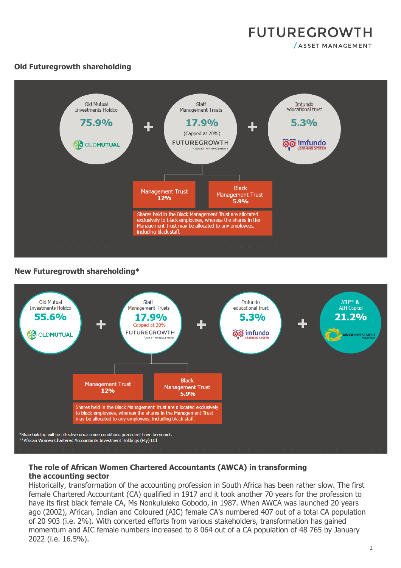

# **Old Futuregrowth shareholding**



## **New Futuregrowth shareholding\***



# **The role of African Women Chartered Accountants (AWCA) in transforming the accounting sector**

Historically, transformation of the accounting profession in South Africa has been rather slow. The first female Chartered Accountant (CA) qualified in 1917 and it took another 70 years for the profession to have its first black female CA, Ms Nonkululeko Gobodo, in 1987. When AWCA was launched 20 years ago (2002), African, Indian and Coloured (AIC) female CA's numbered 407 out of a total CA population of 20 903 (i.e. 2%). With concerted efforts from various stakeholders, transformation has gained momentum and AIC female numbers increased to 8 064 out of a CA population of 48 765 by January 2022 (i.e. 16.5%).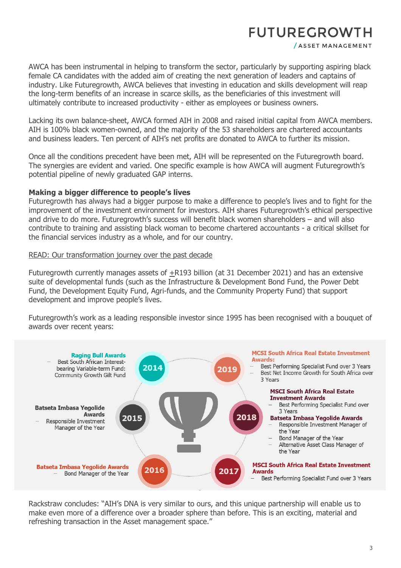# **FUTUREGROWTH**

/ ASSET MANAGEMENT

AWCA has been instrumental in helping to transform the sector, particularly by supporting aspiring black female CA candidates with the added aim of creating the next generation of leaders and captains of industry. Like Futuregrowth, AWCA believes that investing in education and skills development will reap the long-term benefits of an increase in scarce skills, as the beneficiaries of this investment will ultimately contribute to increased productivity - either as employees or business owners.

Lacking its own balance-sheet, AWCA formed AIH in 2008 and raised initial capital from AWCA members. AIH is 100% black women-owned, and the majority of the 53 shareholders are chartered accountants and business leaders. Ten percent of AIH's net profits are donated to AWCA to further its mission.

Once all the conditions precedent have been met, AIH will be represented on the Futuregrowth board. The synergies are evident and varied. One specific example is how AWCA will augment Futuregrowth's potential pipeline of newly graduated GAP interns.

## **Making a bigger difference to people's lives**

Futuregrowth has always had a bigger purpose to make a difference to people's lives and to fight for the improvement of the investment environment for investors. AIH shares Futuregrowth's ethical perspective and drive to do more. Futuregrowth's success will benefit black women shareholders – and will also contribute to training and assisting black woman to become chartered accountants - a critical skillset for the financial services industry as a whole, and for our country.

#### [READ: Our transformation journey over the past decade](https://www.futuregrowth.co.za/insights/our-transformation-journey-over-the-past-decade/)

Futuregrowth currently manages assets of  $\pm$ R193 billion (at 31 December 2021) and has an extensive suite of developmental funds (such as the Infrastructure & Development Bond Fund, the Power Debt Fund, the Development Equity Fund, Agri-funds, and the Community Property Fund) that support development and improve people's lives.

Futuregrowth's work as a leading responsible investor since 1995 has been recognised with a bouquet of awards over recent years:



Rackstraw concludes: "AIH's DNA is very similar to ours, and this unique partnership will enable us to make even more of a difference over a broader sphere than before. This is an exciting, material and refreshing transaction in the Asset management space."